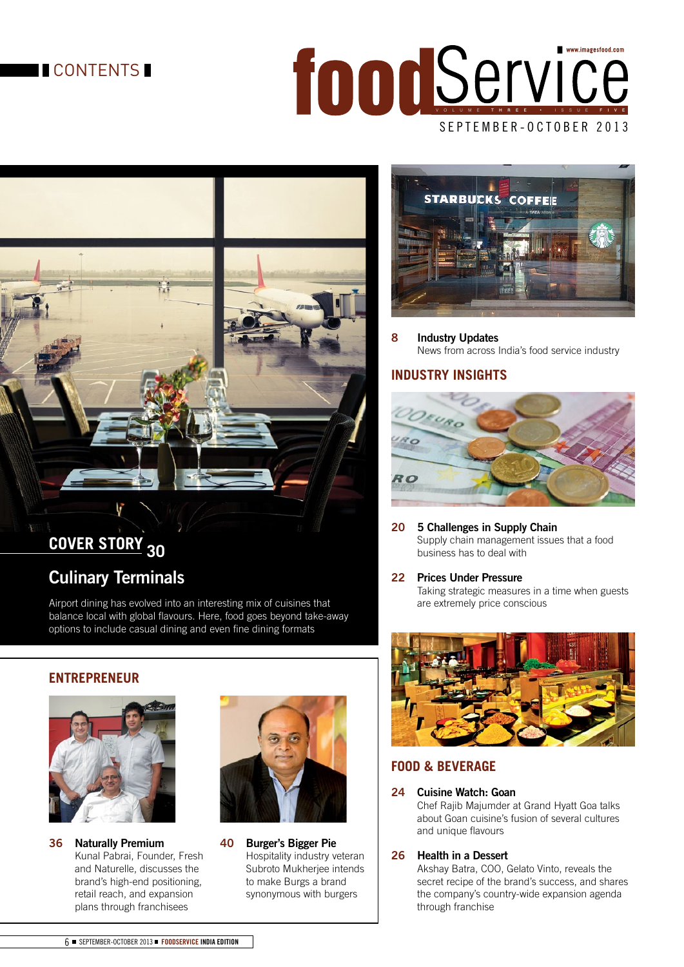# **CONTENTS**

# S E P T E M B E R - O C T O B E R 2013 for Docker Vice



# **COVER STORY <sup>30</sup> Culinary Terminals**

Airport dining has evolved into an interesting mix of cuisines that balance local with global flavours. Here, food goes beyond take-away options to include casual dining and even fine dining formats

# **ENTREPRENEUR**



**36 Naturally Premium**  Kunal Pabrai, Founder, Fresh and Naturelle, discusses the brand's high-end positioning, retail reach, and expansion plans through franchisees



**40 Burger's Bigger Pie**  Hospitality industry veteran Subroto Mukherjee intends to make Burgs a brand synonymous with burgers



**8 Industry Updates**  News from across India's food service industry

# **INDUSTRY INSIGHTS**



- **20 5 Challenges in Supply Chain** Supply chain management issues that a food business has to deal with
- **22 Prices Under Pressure**

 Taking strategic measures in a time when guests are extremely price conscious



# **FOOD & BEVERAGE**

#### **24 Cuisine Watch: Goan**

 Chef Rajib Majumder at Grand Hyatt Goa talks about Goan cuisine's fusion of several cultures and unique flavours

#### **26 Health in a Dessert**

 Akshay Batra, COO, Gelato Vinto, reveals the secret recipe of the brand's success, and shares the company's country-wide expansion agenda through franchise